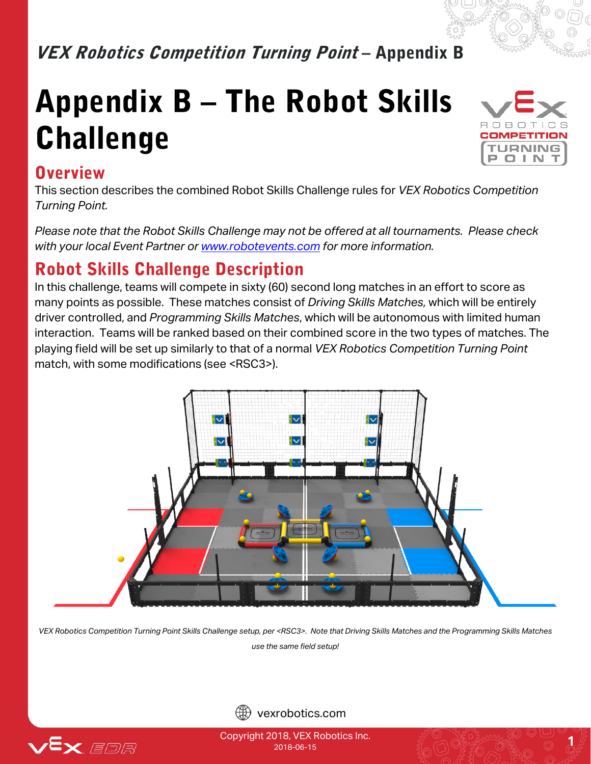# VEX Robotics Competition Turning Point - Appendix B

# Appendix B – The Robot Skills Challenge



#### **Overview**

This section describes the combined Robot Skills Challenge rules for *VEX Robotics Competition Turning Point.*

*Please note that the Robot Skills Challenge may not be offered at all tournaments. Please check with your local Event Partner or [www.robotevents.com](http://www.robotevents.com/) for more information.*

#### Robot Skills Challenge Description

In this challenge, teams will compete in sixty (60) second long matches in an effort to score as many points as possible. These matches consist of *Driving Skills Matches,* which will be entirely driver controlled, and *Programming Skills Matches*, which will be autonomous with limited human interaction. Teams will be ranked based on their combined score in the two types of matches. The playing field will be set up similarly to that of a normal *VEX Robotics Competition Turning Point* match, with some modifications (see <RSC3>).



*VEX Robotics Competition Turning Point Skills Challenge setup, per <RSC3>. Note that Driving Skills Matches and the Programming Skills Matches use the same field setup!*





Copyright 2018, VEX Robotics Inc.  $\frac{1}{2018.06}$ . **1**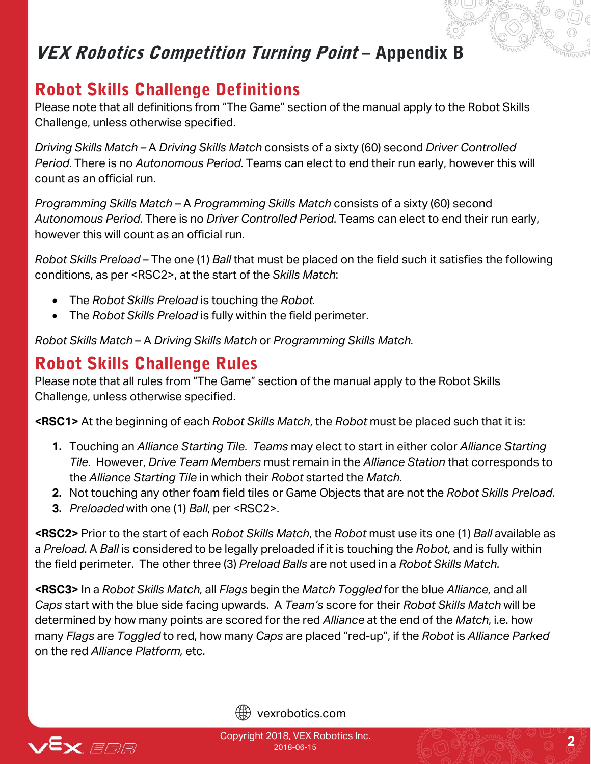# VEX Robotics Competition Turning Point - Appendix B

# Robot Skills Challenge Definitions

Please note that all definitions from "The Game" section of the manual apply to the Robot Skills Challenge, unless otherwise specified.

*Driving Skills Match –* A *Driving Skills Match* consists of a sixty (60) second *Driver Controlled Period*. There is no *Autonomous Period*. Teams can elect to end their run early, however this will count as an official run.

*Programming Skills Match –* A *Programming Skills Match* consists of a sixty (60) second *Autonomous Period*. There is no *Driver Controlled Period*. Teams can elect to end their run early, however this will count as an official run.

*Robot Skills Preload* – The one (1) *Ball* that must be placed on the field such it satisfies the following conditions, as per <RSC2>, at the start of the *Skills Match*:

- The *Robot Skills Preload* is touching the *Robot.*
- The *Robot Skills Preload* is fully within the field perimeter.

*Robot Skills Match* – A *Driving Skills Match* or *Programming Skills Match.*

#### Robot Skills Challenge Rules

Please note that all rules from "The Game" section of the manual apply to the Robot Skills Challenge, unless otherwise specified.

**<RSC1>** At the beginning of each *Robot Skills Match*, the *Robot* must be placed such that it is:

- **1.** Touching an *Alliance Starting Tile*. *Teams* may elect to start in either color *Alliance Starting Tile*. However, *Drive Team Members* must remain in the *Alliance Station* that corresponds to the *Alliance Starting Tile* in which their *Robot* started the *Match*.
- **2.** Not touching any other foam field tiles or Game Objects that are not the *Robot Skills Preload*.
- **3.** *Preloaded* with one (1) *Ball*, per <RSC2>.

**<RSC2>** Prior to the start of each *Robot Skills Match*, the *Robot* must use its one (1) *Ball* available as a *Preload*. A *Ball* is considered to be legally preloaded if it is touching the *Robot,* and is fully within the field perimeter. The other three (3) *Preload Balls* are not used in a *Robot Skills Match*.

**<RSC3>** In a *Robot Skills Match,* all *Flags* begin the *Match Toggled* for the blue *Alliance,* and all *Caps* start with the blue side facing upwards. A *Team's* score for their *Robot Skills Match* will be determined by how many points are scored for the red *Alliance* at the end of the *Match*, i.e. how many *Flags* are *Toggled* to red, how many *Caps* are placed "red-up", if the *Robot* is *Alliance Parked*  on the red *Alliance Platform,* etc.



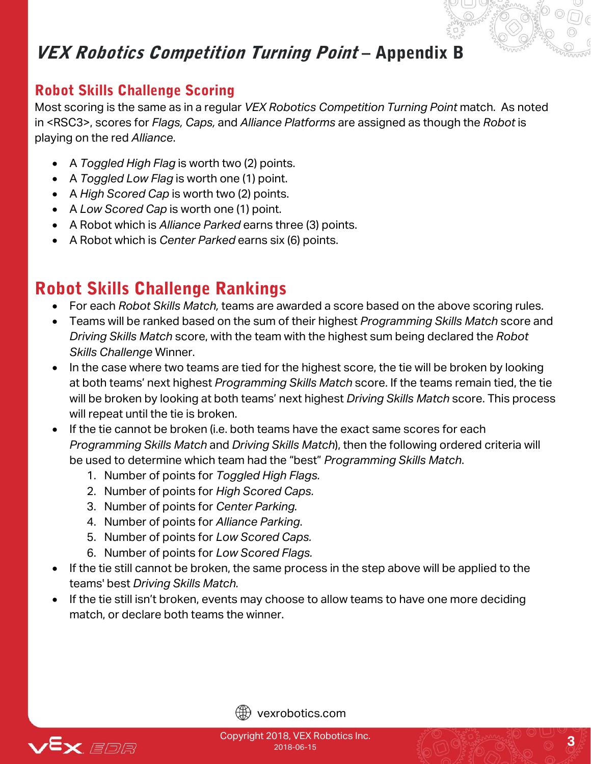# VEX Robotics Competition Turning Point – Appendix B

#### Robot Skills Challenge Scoring

Most scoring is the same as in a regular *VEX Robotics Competition Turning Point* match. As noted in <RSC3>, scores for *Flags, Caps,* and *Alliance Platforms* are assigned as though the *Robot* is playing on the red *Alliance*.

- A *Toggled High Flag* is worth two (2) points.
- A *Toggled Low Flag* is worth one (1) point.
- A *High Scored Cap* is worth two (2) points.
- A *Low Scored Cap* is worth one (1) point.
- A Robot which is *Alliance Parked* earns three (3) points.
- A Robot which is *Center Parked* earns six (6) points.

# Robot Skills Challenge Rankings

- For each *Robot Skills Match,* teams are awarded a score based on the above scoring rules.
- Teams will be ranked based on the sum of their highest *Programming Skills Match* score and *Driving Skills Match* score, with the team with the highest sum being declared the *Robot Skills Challenge* Winner.
- In the case where two teams are tied for the highest score, the tie will be broken by looking at both teams' next highest *Programming Skills Match* score. If the teams remain tied, the tie will be broken by looking at both teams' next highest *Driving Skills Match* score. This process will repeat until the tie is broken.
- If the tie cannot be broken (i.e. both teams have the exact same scores for each *Programming Skills Match* and *Driving Skills Match*), then the following ordered criteria will be used to determine which team had the "best" *Programming Skills Match*.
	- 1. Number of points for *Toggled High Flags.*
	- 2. Number of points for *High Scored Caps.*
	- 3. Number of points for *Center Parking.*
	- 4. Number of points for *Alliance Parking*.
	- 5. Number of points for *Low Scored Caps.*
	- 6. Number of points for *Low Scored Flags.*
- If the tie still cannot be broken, the same process in the step above will be applied to the teams' best *Driving Skills Match.*
- If the tie still isn't broken, events may choose to allow teams to have one more deciding match, or declare both teams the winner.